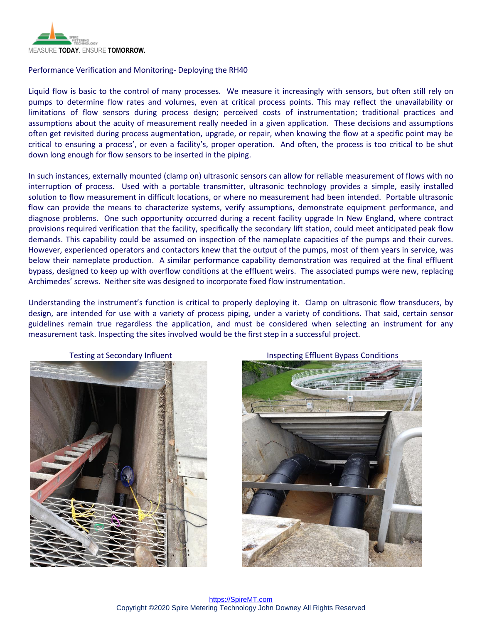

## Performance Verification and Monitoring- Deploying the RH40

Liquid flow is basic to the control of many processes. We measure it increasingly with sensors, but often still rely on pumps to determine flow rates and volumes, even at critical process points. This may reflect the unavailability or limitations of flow sensors during process design; perceived costs of instrumentation; traditional practices and assumptions about the acuity of measurement really needed in a given application. These decisions and assumptions often get revisited during process augmentation, upgrade, or repair, when knowing the flow at a specific point may be critical to ensuring a process', or even a facility's, proper operation. And often, the process is too critical to be shut down long enough for flow sensors to be inserted in the piping.

In such instances, externally mounted (clamp on) ultrasonic sensors can allow for reliable measurement of flows with no interruption of process. Used with a portable transmitter, ultrasonic technology provides a simple, easily installed solution to flow measurement in difficult locations, or where no measurement had been intended. Portable ultrasonic flow can provide the means to characterize systems, verify assumptions, demonstrate equipment performance, and diagnose problems. One such opportunity occurred during a recent facility upgrade In New England, where contract provisions required verification that the facility, specifically the secondary lift station, could meet anticipated peak flow demands. This capability could be assumed on inspection of the nameplate capacities of the pumps and their curves. However, experienced operators and contactors knew that the output of the pumps, most of them years in service, was below their nameplate production. A similar performance capability demonstration was required at the final effluent bypass, designed to keep up with overflow conditions at the effluent weirs. The associated pumps were new, replacing Archimedes' screws. Neither site was designed to incorporate fixed flow instrumentation.

Understanding the instrument's function is critical to properly deploying it. Clamp on ultrasonic flow transducers, by design, are intended for use with a variety of process piping, under a variety of conditions. That said, certain sensor guidelines remain true regardless the application, and must be considered when selecting an instrument for any measurement task. Inspecting the sites involved would be the first step in a successful project.



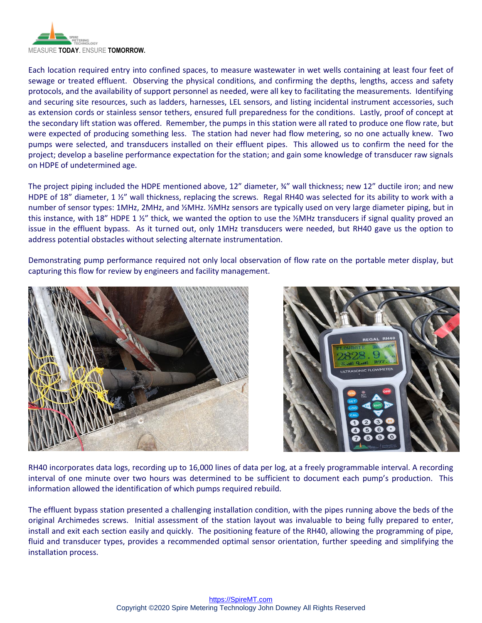

Each location required entry into confined spaces, to measure wastewater in wet wells containing at least four feet of sewage or treated effluent. Observing the physical conditions, and confirming the depths, lengths, access and safety protocols, and the availability of support personnel as needed, were all key to facilitating the measurements. Identifying and securing site resources, such as ladders, harnesses, LEL sensors, and listing incidental instrument accessories, such as extension cords or stainless sensor tethers, ensured full preparedness for the conditions. Lastly, proof of concept at the secondary lift station was offered. Remember, the pumps in this station were all rated to produce one flow rate, but were expected of producing something less. The station had never had flow metering, so no one actually knew. Two pumps were selected, and transducers installed on their effluent pipes. This allowed us to confirm the need for the project; develop a baseline performance expectation for the station; and gain some knowledge of transducer raw signals on HDPE of undetermined age.

The project piping included the HDPE mentioned above, 12" diameter,  $\frac{3}{4}$ " wall thickness; new 12" ductile iron; and new HDPE of 18" diameter, 1 1/2" wall thickness, replacing the screws. Regal RH40 was selected for its ability to work with a number of sensor types: 1MHz, 2MHz, and ½MHz. ½MHz sensors are typically used on very large diameter piping, but in this instance, with 18" HDPE 1 1/2" thick, we wanted the option to use the 1/2MHz transducers if signal quality proved an issue in the effluent bypass. As it turned out, only 1MHz transducers were needed, but RH40 gave us the option to address potential obstacles without selecting alternate instrumentation.

Demonstrating pump performance required not only local observation of flow rate on the portable meter display, but capturing this flow for review by engineers and facility management.





RH40 incorporates data logs, recording up to 16,000 lines of data per log, at a freely programmable interval. A recording interval of one minute over two hours was determined to be sufficient to document each pump's production. This information allowed the identification of which pumps required rebuild.

The effluent bypass station presented a challenging installation condition, with the pipes running above the beds of the original Archimedes screws. Initial assessment of the station layout was invaluable to being fully prepared to enter, install and exit each section easily and quickly. The positioning feature of the RH40, allowing the programming of pipe, fluid and transducer types, provides a recommended optimal sensor orientation, further speeding and simplifying the installation process.